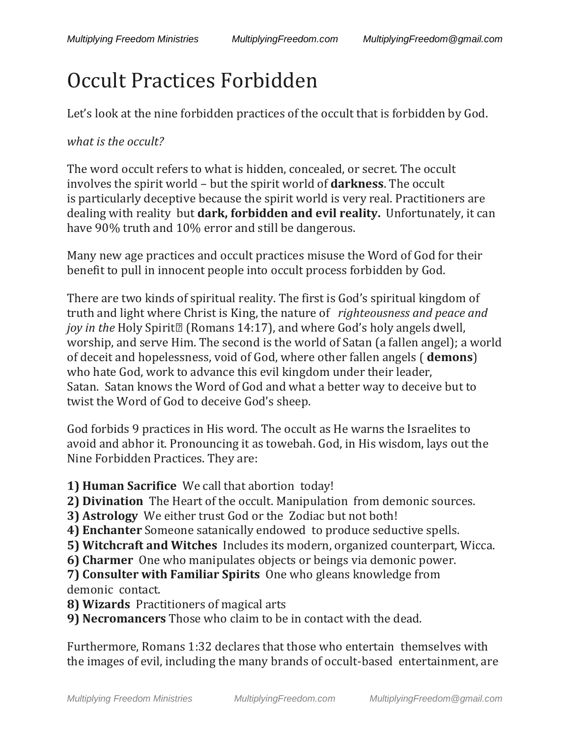## Occult Practices Forbidden

Let's look at the nine forbidden practices of the occult that is forbidden by God.

## *what is the occult?*

The word occult refers to what is hidden, concealed, or secret. The occult involves the spirit world – but the spirit world of **darkness**. The occult is particularly deceptive because the spirit world is very real. Practitioners are dealing with reality but **dark, forbidden and evil reality.** Unfortunately, it can have 90% truth and 10% error and still be dangerous.

Many new age practices and occult practices misuse the Word of God for their benefit to pull in innocent people into occult process forbidden by God.

There are two kinds of spiritual reality. The first is God's spiritual kingdom of truth and light where Christ is King, the nature of *righteousness and peace and joy in the* Holy Spirit<sup>[2]</sup> (Romans 14:17), and where God's holy angels dwell, worship, and serve Him. The second is the world of Satan (a fallen angel); a world of deceit and hopelessness, void of God, where other fallen angels ( **demons**) who hate God, work to advance this evil kingdom under their leader, Satan. Satan knows the Word of God and what a better way to deceive but to twist the Word of God to deceive God's sheep.

God forbids 9 practices in His word. The occult as He warns the Israelites to avoid and abhor it. Pronouncing it as towebah. God, in His wisdom, lays out the Nine Forbidden Practices. They are:

**1) Human Sacrifice** We call that abortion today!

**2) Divination** The Heart of the occult. Manipulation from demonic sources.

- **3) Astrology** We either trust God or the Zodiac but not both!
- **4) Enchanter** Someone satanically endowed to produce seductive spells.
- **5) Witchcraft and Witches** Includes its modern, organized counterpart, Wicca.
- **6) Charmer** One who manipulates objects or beings via demonic power.

**7) Consulter with Familiar Spirits** One who gleans knowledge from demonic contact.

**8) Wizards** Practitioners of magical arts

**9) Necromancers** Those who claim to be in contact with the dead.

Furthermore, Romans 1:32 declares that those who entertain themselves with the images of evil, including the many brands of occult-based entertainment, are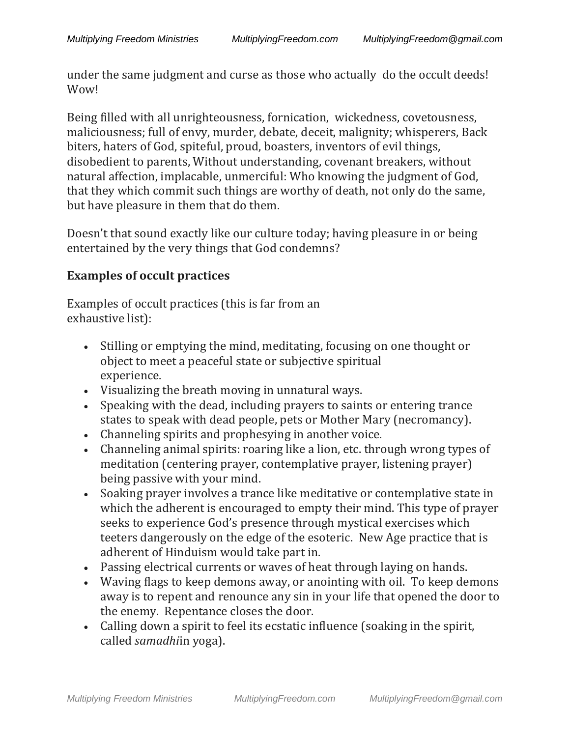under the same judgment and curse as those who actually do the occult deeds! Wow!

Being filled with all unrighteousness, fornication, wickedness, covetousness, maliciousness; full of envy, murder, debate, deceit, malignity; whisperers, Back biters, haters of God, spiteful, proud, boasters, inventors of evil things, disobedient to parents, Without understanding, covenant breakers, without natural affection, implacable, unmerciful: Who knowing the judgment of God, that they which commit such things are worthy of death, not only do the same, but have pleasure in them that do them.

Doesn't that sound exactly like our culture today; having pleasure in or being entertained by the very things that God condemns?

## **Examples of occult practices**

Examples of occult practices (this is far from an exhaustive list):

- Stilling or emptying the mind, meditating, focusing on one thought or object to meet a peaceful state or subjective spiritual experience.
- Visualizing the breath moving in unnatural ways.
- Speaking with the dead, including prayers to saints or entering trance states to speak with dead people, pets or Mother Mary (necromancy).
- Channeling spirits and prophesying in another voice.
- Channeling animal spirits: roaring like a lion, etc. through wrong types of meditation (centering prayer, contemplative prayer, listening prayer) being passive with your mind.
- Soaking prayer involves a trance like meditative or contemplative state in which the adherent is encouraged to empty their mind. This type of prayer seeks to experience God's presence through mystical exercises which teeters dangerously on the edge of the esoteric. New Age practice that is adherent of Hinduism would take part in.
- Passing electrical currents or waves of heat through laying on hands.
- Waving flags to keep demons away, or anointing with oil. To keep demons away is to repent and renounce any sin in your life that opened the door to the enemy. Repentance closes the door.
- Calling down a spirit to feel its ecstatic influence (soaking in the spirit, called *samadhi*in yoga).